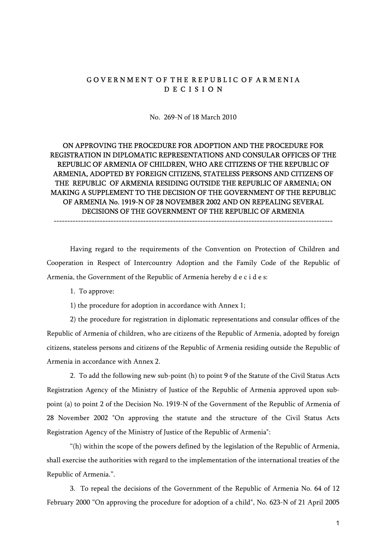#### GOVERNMENT OF THE REPUBLIC OF ARMENIA D E C I S I O N

No. 269-N of 18 March 2010

### ON APPROVING THE PROCEDURE FOR ADOPTION AND THE PROCEDURE FOR REGISTRATION IN DIPLOMATIC REPRESENTATIONS AND CONSULAR OFFICES OF THE REPUBLIC OF ARMENIA OF CHILDREN, WHO ARE CITIZENS OF THE REPUBLIC OF ARMENIA, ADOPTED BY FOREIGN CITIZENS, STATELESS PERSONS AND CITIZENS OF THE REPUBLIC OF ARMENIA RESIDING OUTSIDE THE REPUBLIC OF ARMENIA; ON MAKING A SUPPLEMENT TO THE DECISION OF THE GOVERNMENT OF THE REPUBLIC OF ARMENIA No. 1919-N OF 28 NOVEMBER 2002 AND ON REPEALING SEVERAL DECISIONS OF THE GOVERNMENT OF THE REPUBLIC OF ARMENIA

Having regard to the requirements of the Convention on Protection of Children and Cooperation in Respect of Intercountry Adoption and the Family Code of the Republic of Armenia, the Government of the Republic of Armenia hereby d e c i d e s:

-------------------------------------------------------------------------------------------------------

1. To approve:

1) the procedure for adoption in accordance with Annex 1;

2) the procedure for registration in diplomatic representations and consular offices of the Republic of Armenia of children, who are citizens of the Republic of Armenia, adopted by foreign citizens, stateless persons and citizens of the Republic of Armenia residing outside the Republic of Armenia in accordance with Annex 2.

2. To add the following new sub-point (h) to point 9 of the Statute of the Civil Status Acts Registration Agency of the Ministry of Justice of the Republic of Armenia approved upon subpoint (a) to point 2 of the Decision No. 1919-N of the Government of the Republic of Armenia of 28 November 2002 "On approving the statute and the structure of the Civil Status Acts Registration Agency of the Ministry of Justice of the Republic of Armenia":

"(h) within the scope of the powers defined by the legislation of the Republic of Armenia, shall exercise the authorities with regard to the implementation of the international treaties of the Republic of Armenia.".

3. To repeal the decisions of the Government of the Republic of Armenia No. 64 of 12 February 2000 "On approving the procedure for adoption of a child", No. 623-N of 21 April 2005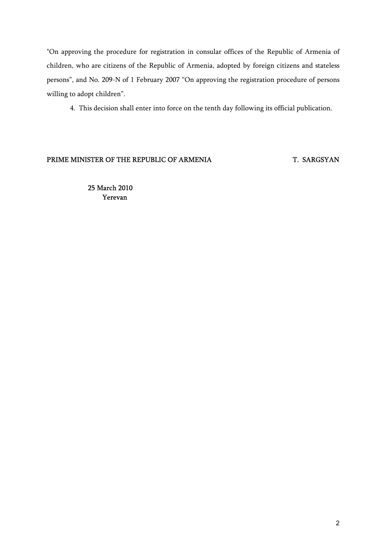"On approving the procedure for registration in consular offices of the Republic of Armenia of children, who are citizens of the Republic of Armenia, adopted by foreign citizens and stateless persons", and No. 209-N of 1 February 2007 "On approving the registration procedure of persons willing to adopt children".

4. This decision shall enter into force on the tenth day following its official publication.

#### PRIME MINISTER OF THE REPUBLIC OF ARMENIA T. SARGSYAN

 25 March 2010 Yerevan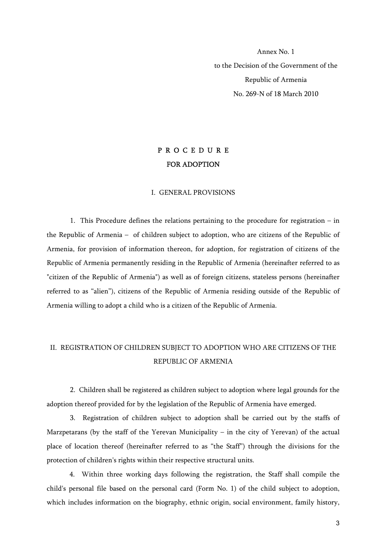Annex No. 1 to the Decision of the Government of the Republic of Armenia No. 269-N of 18 March 2010

## P R O C E D U R E FOR ADOPTION

#### I. GENERAL PROVISIONS

 1. This Procedure defines the relations pertaining to the procedure for registration – in the Republic of Armenia – of children subject to adoption, who are citizens of the Republic of Armenia, for provision of information thereon, for adoption, for registration of citizens of the Republic of Armenia permanently residing in the Republic of Armenia (hereinafter referred to as "citizen of the Republic of Armenia") as well as of foreign citizens, stateless persons (hereinafter referred to as "alien"), citizens of the Republic of Armenia residing outside of the Republic of Armenia willing to adopt a child who is a citizen of the Republic of Armenia.

# II. REGISTRATION OF CHILDREN SUBJECT TO ADOPTION WHO ARE CITIZENS OF THE REPUBLIC OF ARMENIA

 2. Children shall be registered as children subject to adoption where legal grounds for the adoption thereof provided for by the legislation of the Republic of Armenia have emerged.

 3. Registration of children subject to adoption shall be carried out by the staffs of Marzpetarans (by the staff of the Yerevan Municipality – in the city of Yerevan) of the actual place of location thereof (hereinafter referred to as "the Staff") through the divisions for the protection of children's rights within their respective structural units.

4. Within three working days following the registration, the Staff shall compile the child's personal file based on the personal card (Form No. 1) of the child subject to adoption, which includes information on the biography, ethnic origin, social environment, family history,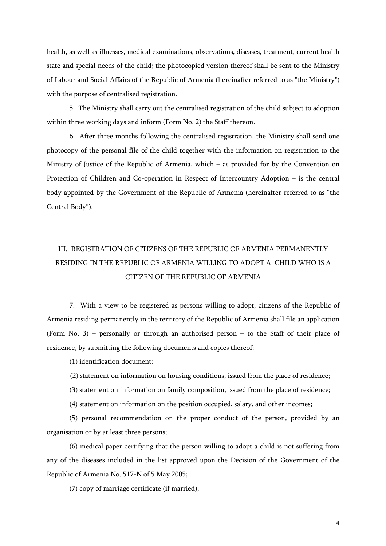health, as well as illnesses, medical examinations, observations, diseases, treatment, current health state and special needs of the child; the photocopied version thereof shall be sent to the Ministry of Labour and Social Affairs of the Republic of Armenia (hereinafter referred to as "the Ministry") with the purpose of centralised registration.

5. The Ministry shall carry out the centralised registration of the child subject to adoption within three working days and inform (Form No. 2) the Staff thereon.

6. After three months following the centralised registration, the Ministry shall send one photocopy of the personal file of the child together with the information on registration to the Ministry of Justice of the Republic of Armenia, which – as provided for by the Convention on Protection of Children and Co-operation in Respect of Intercountry Adoption – is the central body appointed by the Government of the Republic of Armenia (hereinafter referred to as "the Central Body").

# III. REGISTRATION OF CITIZENS OF THE REPUBLIC OF ARMENIA PERMANENTLY RESIDING IN THE REPUBLIC OF ARMENIA WILLING TO ADOPT A CHILD WHO IS A CITIZEN OF THE REPUBLIC OF ARMENIA

7. With a view to be registered as persons willing to adopt, citizens of the Republic of Armenia residing permanently in the territory of the Republic of Armenia shall file an application (Form No. 3) – personally or through an authorised person – to the Staff of their place of residence, by submitting the following documents and copies thereof:

(1) identification document;

(2) statement on information on housing conditions, issued from the place of residence;

(3) statement on information on family composition, issued from the place of residence;

(4) statement on information on the position occupied, salary, and other incomes;

(5) personal recommendation on the proper conduct of the person, provided by an organisation or by at least three persons;

(6) medical paper certifying that the person willing to adopt a child is not suffering from any of the diseases included in the list approved upon the Decision of the Government of the Republic of Armenia No. 517-N of 5 May 2005;

(7) copy of marriage certificate (if married);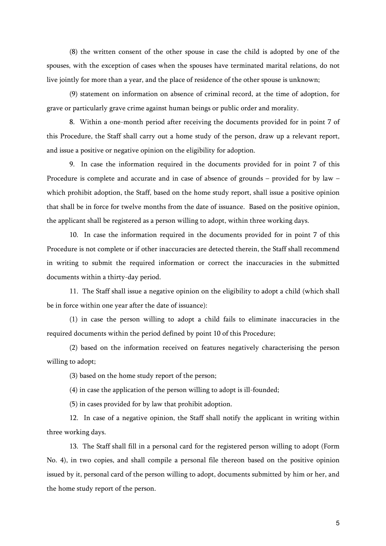(8) the written consent of the other spouse in case the child is adopted by one of the spouses, with the exception of cases when the spouses have terminated marital relations, do not live jointly for more than a year, and the place of residence of the other spouse is unknown;

(9) statement on information on absence of criminal record, at the time of adoption, for grave or particularly grave crime against human beings or public order and morality.

8. Within a one-month period after receiving the documents provided for in point 7 of this Procedure, the Staff shall carry out a home study of the person, draw up a relevant report, and issue a positive or negative opinion on the eligibility for adoption.

9. In case the information required in the documents provided for in point 7 of this Procedure is complete and accurate and in case of absence of grounds – provided for by law – which prohibit adoption, the Staff, based on the home study report, shall issue a positive opinion that shall be in force for twelve months from the date of issuance. Based on the positive opinion, the applicant shall be registered as a person willing to adopt, within three working days.

10. In case the information required in the documents provided for in point 7 of this Procedure is not complete or if other inaccuracies are detected therein, the Staff shall recommend in writing to submit the required information or correct the inaccuracies in the submitted documents within a thirty-day period.

11. The Staff shall issue a negative opinion on the eligibility to adopt a child (which shall be in force within one year after the date of issuance):

(1) in case the person willing to adopt a child fails to eliminate inaccuracies in the required documents within the period defined by point 10 of this Procedure;

(2) based on the information received on features negatively characterising the person willing to adopt;

(3) based on the home study report of the person;

(4) in case the application of the person willing to adopt is ill-founded;

(5) in cases provided for by law that prohibit adoption.

12. In case of a negative opinion, the Staff shall notify the applicant in writing within three working days.

13. The Staff shall fill in a personal card for the registered person willing to adopt (Form No. 4), in two copies, and shall compile a personal file thereon based on the positive opinion issued by it, personal card of the person willing to adopt, documents submitted by him or her, and the home study report of the person.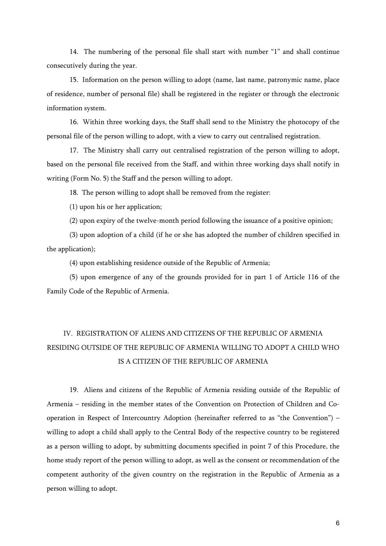14. The numbering of the personal file shall start with number "1" and shall continue consecutively during the year.

15. Information on the person willing to adopt (name, last name, patronymic name, place of residence, number of personal file) shall be registered in the register or through the electronic information system.

16. Within three working days, the Staff shall send to the Ministry the photocopy of the personal file of the person willing to adopt, with a view to carry out centralised registration.

17. The Ministry shall carry out centralised registration of the person willing to adopt, based on the personal file received from the Staff, and within three working days shall notify in writing (Form No. 5) the Staff and the person willing to adopt.

18. The person willing to adopt shall be removed from the register:

(1) upon his or her application;

(2) upon expiry of the twelve-month period following the issuance of a positive opinion;

(3) upon adoption of a child (if he or she has adopted the number of children specified in the application);

(4) upon establishing residence outside of the Republic of Armenia;

(5) upon emergence of any of the grounds provided for in part 1 of Article 116 of the Family Code of the Republic of Armenia.

# IV. REGISTRATION OF ALIENS AND CITIZENS OF THE REPUBLIC OF ARMENIA RESIDING OUTSIDE OF THE REPUBLIC OF ARMENIA WILLING TO ADOPT A CHILD WHO IS A CITIZEN OF THE REPUBLIC OF ARMENIA

19. Aliens and citizens of the Republic of Armenia residing outside of the Republic of Armenia – residing in the member states of the Convention on Protection of Children and Cooperation in Respect of Intercountry Adoption (hereinafter referred to as "the Convention") – willing to adopt a child shall apply to the Central Body of the respective country to be registered as a person willing to adopt, by submitting documents specified in point 7 of this Procedure, the home study report of the person willing to adopt, as well as the consent or recommendation of the competent authority of the given country on the registration in the Republic of Armenia as a person willing to adopt.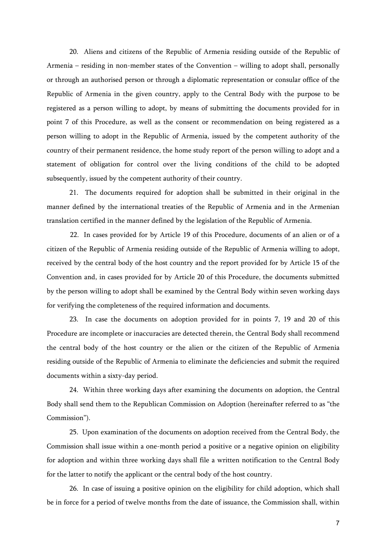20. Aliens and citizens of the Republic of Armenia residing outside of the Republic of Armenia – residing in non-member states of the Convention – willing to adopt shall, personally or through an authorised person or through a diplomatic representation or consular office of the Republic of Armenia in the given country, apply to the Central Body with the purpose to be registered as a person willing to adopt, by means of submitting the documents provided for in point 7 of this Procedure, as well as the consent or recommendation on being registered as a person willing to adopt in the Republic of Armenia, issued by the competent authority of the country of their permanent residence, the home study report of the person willing to adopt and a statement of obligation for control over the living conditions of the child to be adopted subsequently, issued by the competent authority of their country.

21. The documents required for adoption shall be submitted in their original in the manner defined by the international treaties of the Republic of Armenia and in the Armenian translation certified in the manner defined by the legislation of the Republic of Armenia.

 22. In cases provided for by Article 19 of this Procedure, documents of an alien or of a citizen of the Republic of Armenia residing outside of the Republic of Armenia willing to adopt, received by the central body of the host country and the report provided for by Article 15 of the Convention and, in cases provided for by Article 20 of this Procedure, the documents submitted by the person willing to adopt shall be examined by the Central Body within seven working days for verifying the completeness of the required information and documents.

23. In case the documents on adoption provided for in points 7, 19 and 20 of this Procedure are incomplete or inaccuracies are detected therein, the Central Body shall recommend the central body of the host country or the alien or the citizen of the Republic of Armenia residing outside of the Republic of Armenia to eliminate the deficiencies and submit the required documents within a sixty-day period.

24. Within three working days after examining the documents on adoption, the Central Body shall send them to the Republican Commission on Adoption (hereinafter referred to as "the Commission").

25. Upon examination of the documents on adoption received from the Central Body, the Commission shall issue within a one-month period a positive or a negative opinion on eligibility for adoption and within three working days shall file a written notification to the Central Body for the latter to notify the applicant or the central body of the host country.

26. In case of issuing a positive opinion on the eligibility for child adoption, which shall be in force for a period of twelve months from the date of issuance, the Commission shall, within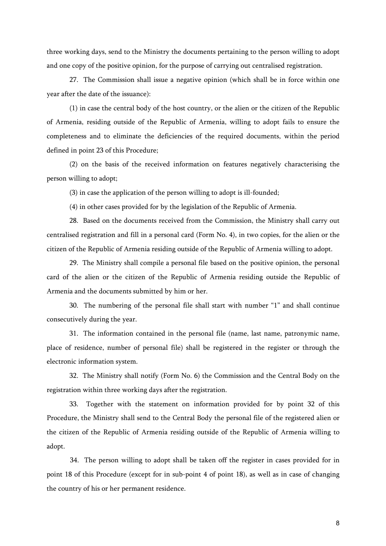three working days, send to the Ministry the documents pertaining to the person willing to adopt and one copy of the positive opinion, for the purpose of carrying out centralised registration.

27. The Commission shall issue a negative opinion (which shall be in force within one year after the date of the issuance):

(1) in case the central body of the host country, or the alien or the citizen of the Republic of Armenia, residing outside of the Republic of Armenia, willing to adopt fails to ensure the completeness and to eliminate the deficiencies of the required documents, within the period defined in point 23 of this Procedure;

(2) on the basis of the received information on features negatively characterising the person willing to adopt;

(3) in case the application of the person willing to adopt is ill-founded;

(4) in other cases provided for by the legislation of the Republic of Armenia.

28. Based on the documents received from the Commission, the Ministry shall carry out centralised registration and fill in a personal card (Form No. 4), in two copies, for the alien or the citizen of the Republic of Armenia residing outside of the Republic of Armenia willing to adopt.

29. The Ministry shall compile a personal file based on the positive opinion, the personal card of the alien or the citizen of the Republic of Armenia residing outside the Republic of Armenia and the documents submitted by him or her.

30. The numbering of the personal file shall start with number "1" and shall continue consecutively during the year.

31. The information contained in the personal file (name, last name, patronymic name, place of residence, number of personal file) shall be registered in the register or through the electronic information system.

32. The Ministry shall notify (Form No. 6) the Commission and the Central Body on the registration within three working days after the registration.

33. Together with the statement on information provided for by point 32 of this Procedure, the Ministry shall send to the Central Body the personal file of the registered alien or the citizen of the Republic of Armenia residing outside of the Republic of Armenia willing to adopt.

 34. The person willing to adopt shall be taken off the register in cases provided for in point 18 of this Procedure (except for in sub-point 4 of point 18), as well as in case of changing the country of his or her permanent residence.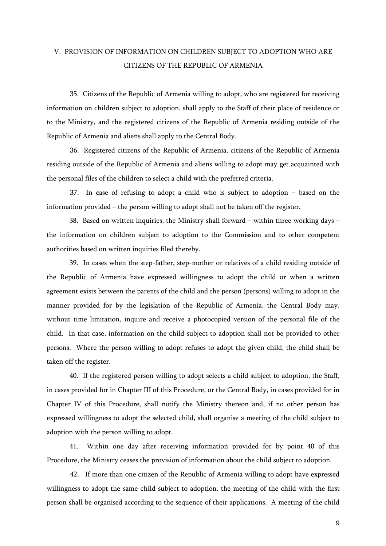## V. PROVISION OF INFORMATION ON CHILDREN SUBJECT TO ADOPTION WHO ARE CITIZENS OF THE REPUBLIC OF ARMENIA

 35. Citizens of the Republic of Armenia willing to adopt, who are registered for receiving information on children subject to adoption, shall apply to the Staff of their place of residence or to the Ministry, and the registered citizens of the Republic of Armenia residing outside of the Republic of Armenia and aliens shall apply to the Central Body.

 36. Registered citizens of the Republic of Armenia, citizens of the Republic of Armenia residing outside of the Republic of Armenia and aliens willing to adopt may get acquainted with the personal files of the children to select a child with the preferred criteria.

 37. In case of refusing to adopt a child who is subject to adoption – based on the information provided – the person willing to adopt shall not be taken off the register.

38. Based on written inquiries, the Ministry shall forward – within three working days – the information on children subject to adoption to the Commission and to other competent authorities based on written inquiries filed thereby.

39. In cases when the step-father, step-mother or relatives of a child residing outside of the Republic of Armenia have expressed willingness to adopt the child or when a written agreement exists between the parents of the child and the person (persons) willing to adopt in the manner provided for by the legislation of the Republic of Armenia, the Central Body may, without time limitation, inquire and receive a photocopied version of the personal file of the child. In that case, information on the child subject to adoption shall not be provided to other persons. Where the person willing to adopt refuses to adopt the given child, the child shall be taken off the register.

40. If the registered person willing to adopt selects a child subject to adoption, the Staff, in cases provided for in Chapter III of this Procedure, or the Central Body, in cases provided for in Chapter IV of this Procedure, shall notify the Ministry thereon and, if no other person has expressed willingness to adopt the selected child, shall organise a meeting of the child subject to adoption with the person willing to adopt.

41. Within one day after receiving information provided for by point 40 of this Procedure, the Ministry ceases the provision of information about the child subject to adoption.

 42. If more than one citizen of the Republic of Armenia willing to adopt have expressed willingness to adopt the same child subject to adoption, the meeting of the child with the first person shall be organised according to the sequence of their applications. A meeting of the child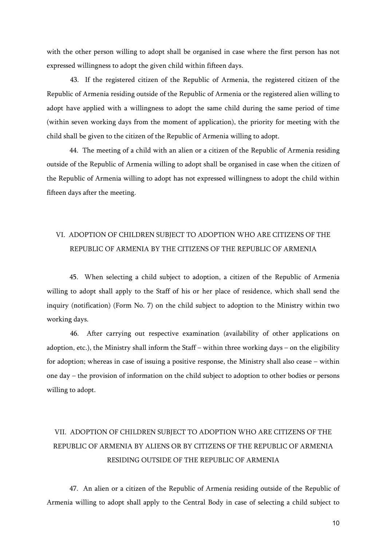with the other person willing to adopt shall be organised in case where the first person has not expressed willingness to adopt the given child within fifteen days.

 43. If the registered citizen of the Republic of Armenia, the registered citizen of the Republic of Armenia residing outside of the Republic of Armenia or the registered alien willing to adopt have applied with a willingness to adopt the same child during the same period of time (within seven working days from the moment of application), the priority for meeting with the child shall be given to the citizen of the Republic of Armenia willing to adopt.

44. The meeting of a child with an alien or a citizen of the Republic of Armenia residing outside of the Republic of Armenia willing to adopt shall be organised in case when the citizen of the Republic of Armenia willing to adopt has not expressed willingness to adopt the child within fifteen days after the meeting.

# VI. ADOPTION OF CHILDREN SUBJECT TO ADOPTION WHO ARE CITIZENS OF THE REPUBLIC OF ARMENIA BY THE CITIZENS OF THE REPUBLIC OF ARMENIA

45. When selecting a child subject to adoption, a citizen of the Republic of Armenia willing to adopt shall apply to the Staff of his or her place of residence, which shall send the inquiry (notification) (Form No. 7) on the child subject to adoption to the Ministry within two working days.

 46. After carrying out respective examination (availability of other applications on adoption, etc.), the Ministry shall inform the Staff – within three working days – on the eligibility for adoption; whereas in case of issuing a positive response, the Ministry shall also cease – within one day – the provision of information on the child subject to adoption to other bodies or persons willing to adopt.

# VII. ADOPTION OF CHILDREN SUBJECT TO ADOPTION WHO ARE CITIZENS OF THE REPUBLIC OF ARMENIA BY ALIENS OR BY CITIZENS OF THE REPUBLIC OF ARMENIA RESIDING OUTSIDE OF THE REPUBLIC OF ARMENIA

47. An alien or a citizen of the Republic of Armenia residing outside of the Republic of Armenia willing to adopt shall apply to the Central Body in case of selecting a child subject to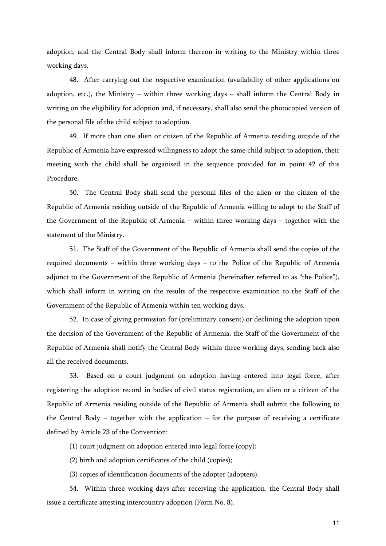adoption, and the Central Body shall inform thereon in writing to the Ministry within three working days.

48. After carrying out the respective examination (availability of other applications on adoption, etc.), the Ministry – within three working days – shall inform the Central Body in writing on the eligibility for adoption and, if necessary, shall also send the photocopied version of the personal file of the child subject to adoption.

49. If more than one alien or citizen of the Republic of Armenia residing outside of the Republic of Armenia have expressed willingness to adopt the same child subject to adoption, their meeting with the child shall be organised in the sequence provided for in point 42 of this Procedure.

50. The Central Body shall send the personal files of the alien or the citizen of the Republic of Armenia residing outside of the Republic of Armenia willing to adopt to the Staff of the Government of the Republic of Armenia – within three working days – together with the statement of the Ministry.

51. The Staff of the Government of the Republic of Armenia shall send the copies of the required documents – within three working days – to the Police of the Republic of Armenia adjunct to the Government of the Republic of Armenia (hereinafter referred to as "the Police"), which shall inform in writing on the results of the respective examination to the Staff of the Government of the Republic of Armenia within ten working days.

52. In case of giving permission for (preliminary consent) or declining the adoption upon the decision of the Government of the Republic of Armenia, the Staff of the Government of the Republic of Armenia shall notify the Central Body within three working days, sending back also all the received documents.

53. Based on a court judgment on adoption having entered into legal force, after registering the adoption record in bodies of civil status registration, an alien or a citizen of the Republic of Armenia residing outside of the Republic of Armenia shall submit the following to the Central Body – together with the application – for the purpose of receiving a certificate defined by Article 23 of the Convention:

(1) court judgment on adoption entered into legal force (copy);

(2) birth and adoption certificates of the child (copies);

(3) copies of identification documents of the adopter (adopters).

54. Within three working days after receiving the application, the Central Body shall issue a certificate attesting intercountry adoption (Form No. 8).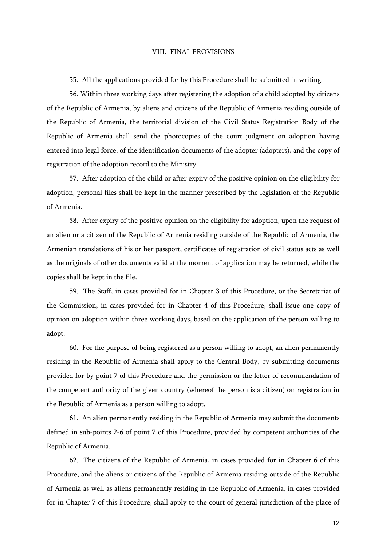#### VIII. FINAL PROVISIONS

55. All the applications provided for by this Procedure shall be submitted in writing.

56. Within three working days after registering the adoption of a child adopted by citizens of the Republic of Armenia, by aliens and citizens of the Republic of Armenia residing outside of the Republic of Armenia, the territorial division of the Civil Status Registration Body of the Republic of Armenia shall send the photocopies of the court judgment on adoption having entered into legal force, of the identification documents of the adopter (adopters), and the copy of registration of the adoption record to the Ministry.

57. After adoption of the child or after expiry of the positive opinion on the eligibility for adoption, personal files shall be kept in the manner prescribed by the legislation of the Republic of Armenia.

58. After expiry of the positive opinion on the eligibility for adoption, upon the request of an alien or a citizen of the Republic of Armenia residing outside of the Republic of Armenia, the Armenian translations of his or her passport, certificates of registration of civil status acts as well as the originals of other documents valid at the moment of application may be returned, while the copies shall be kept in the file.

59. The Staff, in cases provided for in Chapter 3 of this Procedure, or the Secretariat of the Commission, in cases provided for in Chapter 4 of this Procedure, shall issue one copy of opinion on adoption within three working days, based on the application of the person willing to adopt.

60. For the purpose of being registered as a person willing to adopt, an alien permanently residing in the Republic of Armenia shall apply to the Central Body, by submitting documents provided for by point 7 of this Procedure and the permission or the letter of recommendation of the competent authority of the given country (whereof the person is a citizen) on registration in the Republic of Armenia as a person willing to adopt.

61. An alien permanently residing in the Republic of Armenia may submit the documents defined in sub-points 2-6 of point 7 of this Procedure, provided by competent authorities of the Republic of Armenia.

62. The citizens of the Republic of Armenia, in cases provided for in Chapter 6 of this Procedure, and the aliens or citizens of the Republic of Armenia residing outside of the Republic of Armenia as well as aliens permanently residing in the Republic of Armenia, in cases provided for in Chapter 7 of this Procedure, shall apply to the court of general jurisdiction of the place of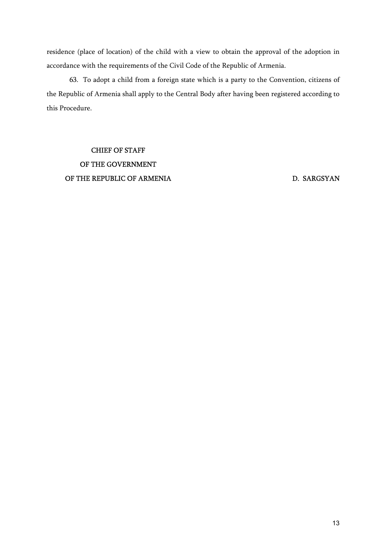residence (place of location) of the child with a view to obtain the approval of the adoption in accordance with the requirements of the Civil Code of the Republic of Armenia.

63. To adopt a child from a foreign state which is a party to the Convention, citizens of the Republic of Armenia shall apply to the Central Body after having been registered according to this Procedure.

CHIEF OF STAFF OF THE GOVERNMENT OF THE REPUBLIC OF ARMENIA

D. SARGSYAN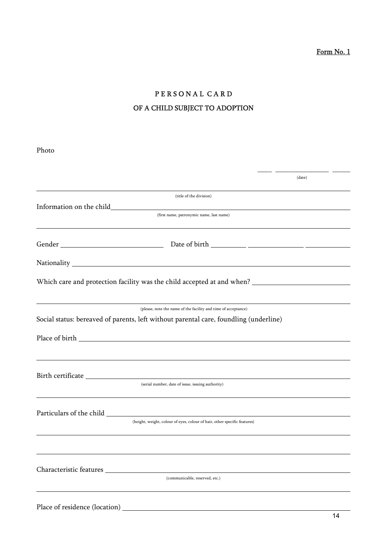# PERSONAL CARD OF A CHILD SUBJECT TO ADOPTION

| (date)                                                                                                                                                  |  |
|---------------------------------------------------------------------------------------------------------------------------------------------------------|--|
| (title of the division)                                                                                                                                 |  |
|                                                                                                                                                         |  |
| (first name, patronymic name, last name)                                                                                                                |  |
|                                                                                                                                                         |  |
|                                                                                                                                                         |  |
|                                                                                                                                                         |  |
| (please, note the name of the facility and time of acceptance)<br>Social status: bereaved of parents, left without parental care, foundling (underline) |  |
|                                                                                                                                                         |  |
| ,我们也不会有一个人的人,我们也不会有一个人的人,我们也不会有一个人的人,我们也不会有一个人的人。""我们的人,我们也不会有一个人的人,我们也不会有一个人的人,<br>(serial number, date of issue, issuing authority)                   |  |
| (height, weight, colour of eyes, colour of hair, other specific features)                                                                               |  |
|                                                                                                                                                         |  |
| Characteristic features<br>(communicable, reserved, etc.)                                                                                               |  |
|                                                                                                                                                         |  |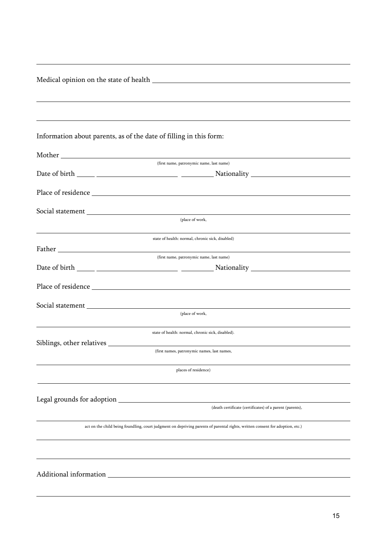| Information about parents, as of the date of filling in this form:                                                            |
|-------------------------------------------------------------------------------------------------------------------------------|
|                                                                                                                               |
| (first name, patronymic name, last name)                                                                                      |
|                                                                                                                               |
|                                                                                                                               |
|                                                                                                                               |
| (place of work,                                                                                                               |
| state of health: normal, chronic sick, disabled)                                                                              |
| (first name, patronymic name, last name)                                                                                      |
|                                                                                                                               |
|                                                                                                                               |
|                                                                                                                               |
| (place of work,                                                                                                               |
| state of health: normal, chronic sick, disabled).                                                                             |
| Siblings, other relatives ___________                                                                                         |
| (first names, patronymic names, last names,                                                                                   |
| places of residence)                                                                                                          |
|                                                                                                                               |
| (death certificate (certificates) of a parent (parents),                                                                      |
| act on the child being foundling, court judgment on depriving parents of parental rights, written consent for adoption, etc.) |
|                                                                                                                               |
|                                                                                                                               |
|                                                                                                                               |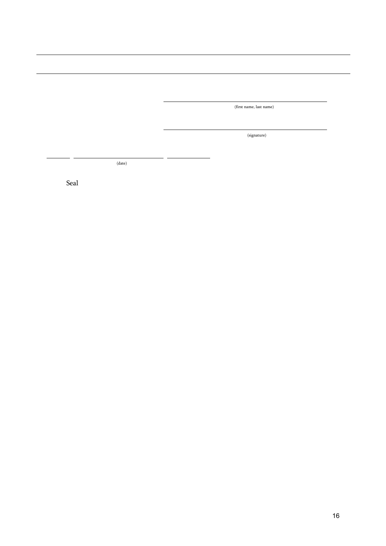(first name, last name)

(signature)

(date)

Seal

j.

 $\overline{a}$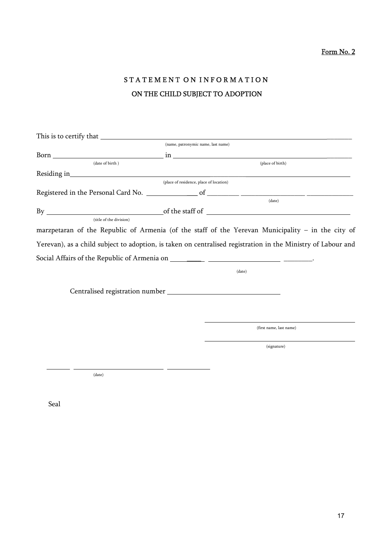# STATEMENT ON INFORMATION ON THE CHILD SUBJECT TO ADOPTION

|                 |                         | (name, patronymic name, last name)                                                                           |
|-----------------|-------------------------|--------------------------------------------------------------------------------------------------------------|
|                 |                         |                                                                                                              |
| (date of birth) |                         | (place of birth)                                                                                             |
|                 |                         |                                                                                                              |
|                 |                         | (place of residence, place of location)                                                                      |
|                 |                         |                                                                                                              |
|                 |                         | (data)                                                                                                       |
|                 |                         |                                                                                                              |
|                 | (title of the division) |                                                                                                              |
|                 |                         | marzpetaran of the Republic of Armenia (of the staff of the Yerevan Municipality - in the city of            |
|                 |                         | Yerevan), as a child subject to adoption, is taken on centralised registration in the Ministry of Labour and |
|                 |                         |                                                                                                              |
|                 |                         | (date)                                                                                                       |
|                 |                         |                                                                                                              |
|                 |                         |                                                                                                              |
|                 |                         |                                                                                                              |
|                 |                         | (first name, last name)                                                                                      |
|                 |                         | (signature)                                                                                                  |
|                 |                         |                                                                                                              |
|                 |                         |                                                                                                              |

(date)

Seal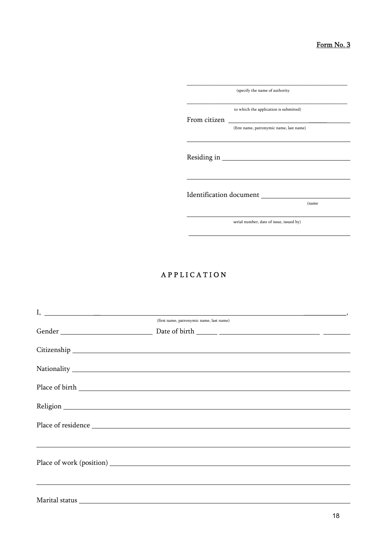|              | (specify the name of authority           |
|--------------|------------------------------------------|
| From citizen | to which the application is submitted)   |
|              | (first name, patronymic name, last name) |
|              |                                          |
|              | Identification document                  |
|              | (name                                    |

serial number, date of issue, issued by)

### A P P L I C A T I O N

| $I, \underline{\hspace{1cm}}$            |
|------------------------------------------|
| (first name, patronymic name, last name) |
|                                          |
|                                          |
|                                          |
|                                          |
|                                          |
|                                          |
|                                          |
|                                          |
|                                          |
|                                          |
|                                          |
|                                          |
|                                          |
|                                          |
|                                          |
|                                          |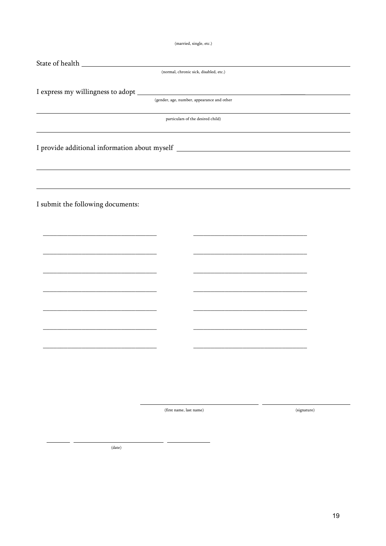(married, single, etc.)

| (normal, chronic sick, disabled, etc.)<br>(gender, age, number, appearance and other<br>particulars of the desired child)<br>,我们也不会有什么。""我们的人,我们也不会有什么?""我们的人,我们也不会有什么?""我们的人,我们也不会有什么?""我们的人,我们也不会有什么?""我们的人<br>I provide additional information about myself __________________________________<br>,我们也不会有什么。""我们的人,我们也不会有什么?""我们的人,我们也不会有什么?""我们的人,我们也不会有什么?""我们的人,我们也不会有什么?""我们的人<br>the control of the control of the control of the control of the control of the control of the control of the control of the control of the control of the control of the control of the control of the control of the control<br>I submit the following documents:<br>the control of the control of the control of the control of<br>the control of the control of the control of the control of the control of<br>(first name, last name)<br>(signature) |  |  |
|----------------------------------------------------------------------------------------------------------------------------------------------------------------------------------------------------------------------------------------------------------------------------------------------------------------------------------------------------------------------------------------------------------------------------------------------------------------------------------------------------------------------------------------------------------------------------------------------------------------------------------------------------------------------------------------------------------------------------------------------------------------------------------------------------------------------------------------------------|--|--|
|                                                                                                                                                                                                                                                                                                                                                                                                                                                                                                                                                                                                                                                                                                                                                                                                                                                    |  |  |
|                                                                                                                                                                                                                                                                                                                                                                                                                                                                                                                                                                                                                                                                                                                                                                                                                                                    |  |  |
|                                                                                                                                                                                                                                                                                                                                                                                                                                                                                                                                                                                                                                                                                                                                                                                                                                                    |  |  |
|                                                                                                                                                                                                                                                                                                                                                                                                                                                                                                                                                                                                                                                                                                                                                                                                                                                    |  |  |
|                                                                                                                                                                                                                                                                                                                                                                                                                                                                                                                                                                                                                                                                                                                                                                                                                                                    |  |  |
|                                                                                                                                                                                                                                                                                                                                                                                                                                                                                                                                                                                                                                                                                                                                                                                                                                                    |  |  |
|                                                                                                                                                                                                                                                                                                                                                                                                                                                                                                                                                                                                                                                                                                                                                                                                                                                    |  |  |
|                                                                                                                                                                                                                                                                                                                                                                                                                                                                                                                                                                                                                                                                                                                                                                                                                                                    |  |  |
|                                                                                                                                                                                                                                                                                                                                                                                                                                                                                                                                                                                                                                                                                                                                                                                                                                                    |  |  |
|                                                                                                                                                                                                                                                                                                                                                                                                                                                                                                                                                                                                                                                                                                                                                                                                                                                    |  |  |
|                                                                                                                                                                                                                                                                                                                                                                                                                                                                                                                                                                                                                                                                                                                                                                                                                                                    |  |  |
|                                                                                                                                                                                                                                                                                                                                                                                                                                                                                                                                                                                                                                                                                                                                                                                                                                                    |  |  |
|                                                                                                                                                                                                                                                                                                                                                                                                                                                                                                                                                                                                                                                                                                                                                                                                                                                    |  |  |
|                                                                                                                                                                                                                                                                                                                                                                                                                                                                                                                                                                                                                                                                                                                                                                                                                                                    |  |  |
|                                                                                                                                                                                                                                                                                                                                                                                                                                                                                                                                                                                                                                                                                                                                                                                                                                                    |  |  |
|                                                                                                                                                                                                                                                                                                                                                                                                                                                                                                                                                                                                                                                                                                                                                                                                                                                    |  |  |
|                                                                                                                                                                                                                                                                                                                                                                                                                                                                                                                                                                                                                                                                                                                                                                                                                                                    |  |  |
|                                                                                                                                                                                                                                                                                                                                                                                                                                                                                                                                                                                                                                                                                                                                                                                                                                                    |  |  |
|                                                                                                                                                                                                                                                                                                                                                                                                                                                                                                                                                                                                                                                                                                                                                                                                                                                    |  |  |
|                                                                                                                                                                                                                                                                                                                                                                                                                                                                                                                                                                                                                                                                                                                                                                                                                                                    |  |  |
|                                                                                                                                                                                                                                                                                                                                                                                                                                                                                                                                                                                                                                                                                                                                                                                                                                                    |  |  |
|                                                                                                                                                                                                                                                                                                                                                                                                                                                                                                                                                                                                                                                                                                                                                                                                                                                    |  |  |
|                                                                                                                                                                                                                                                                                                                                                                                                                                                                                                                                                                                                                                                                                                                                                                                                                                                    |  |  |
|                                                                                                                                                                                                                                                                                                                                                                                                                                                                                                                                                                                                                                                                                                                                                                                                                                                    |  |  |
|                                                                                                                                                                                                                                                                                                                                                                                                                                                                                                                                                                                                                                                                                                                                                                                                                                                    |  |  |
|                                                                                                                                                                                                                                                                                                                                                                                                                                                                                                                                                                                                                                                                                                                                                                                                                                                    |  |  |
|                                                                                                                                                                                                                                                                                                                                                                                                                                                                                                                                                                                                                                                                                                                                                                                                                                                    |  |  |
|                                                                                                                                                                                                                                                                                                                                                                                                                                                                                                                                                                                                                                                                                                                                                                                                                                                    |  |  |
|                                                                                                                                                                                                                                                                                                                                                                                                                                                                                                                                                                                                                                                                                                                                                                                                                                                    |  |  |
|                                                                                                                                                                                                                                                                                                                                                                                                                                                                                                                                                                                                                                                                                                                                                                                                                                                    |  |  |
|                                                                                                                                                                                                                                                                                                                                                                                                                                                                                                                                                                                                                                                                                                                                                                                                                                                    |  |  |
| (date)                                                                                                                                                                                                                                                                                                                                                                                                                                                                                                                                                                                                                                                                                                                                                                                                                                             |  |  |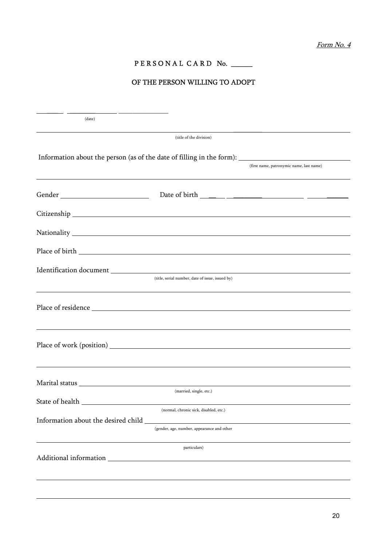### PERSONAL CARD No. \_\_\_\_\_

### OF THE PERSON WILLING TO ADOPT

| (date)                                                                                                                                                                                                                         |                                                  |                                          |
|--------------------------------------------------------------------------------------------------------------------------------------------------------------------------------------------------------------------------------|--------------------------------------------------|------------------------------------------|
|                                                                                                                                                                                                                                | (title of the division)                          |                                          |
| Information about the person (as of the date of filling in the form): ______________________________                                                                                                                           |                                                  |                                          |
|                                                                                                                                                                                                                                |                                                  | (first name, patronymic name, last name) |
|                                                                                                                                                                                                                                |                                                  |                                          |
|                                                                                                                                                                                                                                |                                                  |                                          |
|                                                                                                                                                                                                                                |                                                  |                                          |
|                                                                                                                                                                                                                                |                                                  |                                          |
|                                                                                                                                                                                                                                |                                                  |                                          |
|                                                                                                                                                                                                                                | (title, serial number, date of issue, issued by) |                                          |
|                                                                                                                                                                                                                                |                                                  |                                          |
|                                                                                                                                                                                                                                |                                                  |                                          |
|                                                                                                                                                                                                                                |                                                  |                                          |
|                                                                                                                                                                                                                                |                                                  |                                          |
|                                                                                                                                                                                                                                |                                                  |                                          |
| State of health                                                                                                                                                                                                                | (married, single, etc.)                          |                                          |
|                                                                                                                                                                                                                                | (normal, chronic sick, disabled, etc.)           |                                          |
| Information about the desired child                                                                                                                                                                                            | (gender, age, number, appearance and other       |                                          |
|                                                                                                                                                                                                                                | particulars)                                     |                                          |
| Additional information entrance and a series of the series of the series of the series of the series of the series of the series of the series of the series of the series of the series of the series of the series of the se |                                                  |                                          |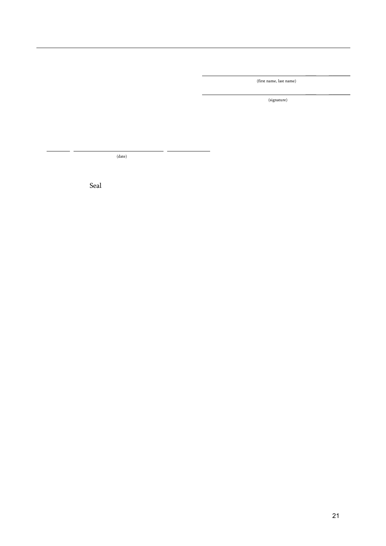$\mathcal{L} = \{ \mathcal{L} \mid \mathcal{L} \in \mathcal{L} \}$  , where  $\mathcal{L} = \{ \mathcal{L} \mid \mathcal{L} \in \mathcal{L} \}$ (first name, last name)

 \_\_\_ \_\_\_\_\_\_ (signature)

(date)

Seal

j.

 $\overline{a}$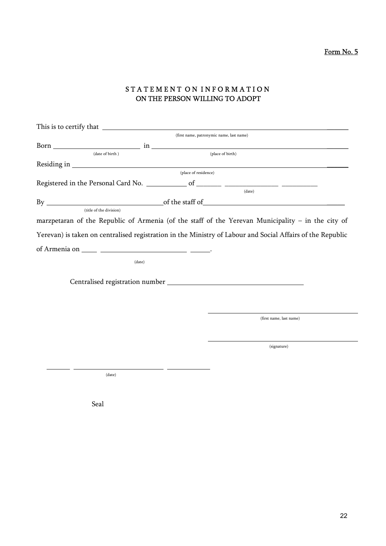Form No. 5

### STATEMENT ON INFORMATION ON THE PERSON WILLING TO ADOPT

|                                                                                                            | (first name, patronymic name, last name) |
|------------------------------------------------------------------------------------------------------------|------------------------------------------|
|                                                                                                            |                                          |
| (date of birth)                                                                                            | (place of birth)                         |
|                                                                                                            |                                          |
| (place of residence)                                                                                       |                                          |
|                                                                                                            |                                          |
|                                                                                                            | (data)                                   |
|                                                                                                            |                                          |
| (title of the division)                                                                                    |                                          |
| marzpetaran of the Republic of Armenia (of the staff of the Yerevan Municipality - in the city of          |                                          |
| Yerevan) is taken on centralised registration in the Ministry of Labour and Social Affairs of the Republic |                                          |
|                                                                                                            |                                          |
|                                                                                                            |                                          |
| (date)                                                                                                     |                                          |
|                                                                                                            |                                          |
|                                                                                                            |                                          |
|                                                                                                            |                                          |
|                                                                                                            |                                          |
|                                                                                                            |                                          |
|                                                                                                            | (first name, last name)                  |
|                                                                                                            |                                          |
|                                                                                                            |                                          |
|                                                                                                            | (signature)                              |
|                                                                                                            |                                          |
|                                                                                                            |                                          |
| (data)                                                                                                     |                                          |

Seal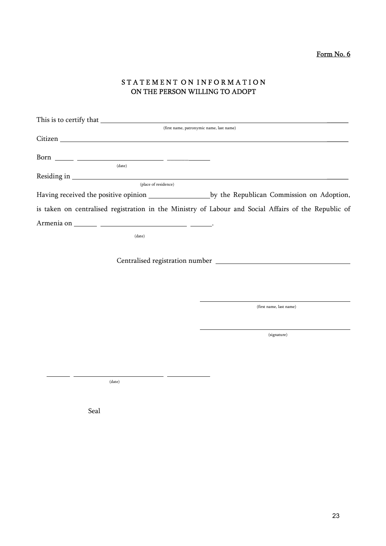### STATEMENT ON INFORMATION ON THE PERSON WILLING TO ADOPT

|                                                                                                                         | (first name, patronymic name, last name) |
|-------------------------------------------------------------------------------------------------------------------------|------------------------------------------|
| Citizen <b>Executive Community Community</b> Control of the Community Community Community Community Community Community |                                          |
|                                                                                                                         |                                          |
|                                                                                                                         |                                          |
| (date)                                                                                                                  |                                          |
|                                                                                                                         |                                          |
| (place of residence)                                                                                                    |                                          |
|                                                                                                                         |                                          |
| is taken on centralised registration in the Ministry of Labour and Social Affairs of the Republic of                    |                                          |
|                                                                                                                         |                                          |
| (date)                                                                                                                  |                                          |
|                                                                                                                         |                                          |
|                                                                                                                         |                                          |
|                                                                                                                         |                                          |
|                                                                                                                         | (first name, last name)                  |
|                                                                                                                         |                                          |
|                                                                                                                         | (signature)                              |
|                                                                                                                         |                                          |

(date)

Seal

i.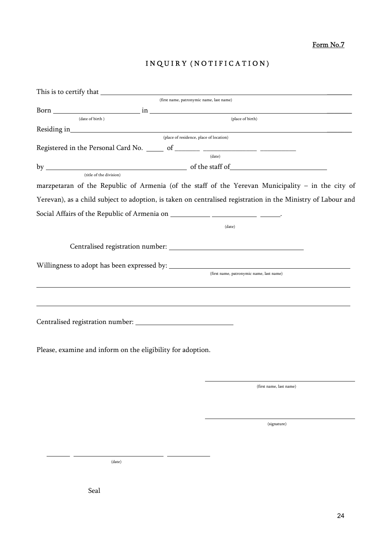Form No.7

# INQUIRY (NOTIFICATION)

|                             | (first name, patronymic name, last name)                                                                     |
|-----------------------------|--------------------------------------------------------------------------------------------------------------|
|                             |                                                                                                              |
| ${\rm (date\ of\ birth\ )}$ | $(\rm place~of~birth)$                                                                                       |
|                             |                                                                                                              |
|                             | (place of residence, place of location)                                                                      |
|                             |                                                                                                              |
|                             | (date)                                                                                                       |
|                             |                                                                                                              |
| (title of the division)     |                                                                                                              |
|                             | marzpetaran of the Republic of Armenia (of the staff of the Yerevan Municipality - in the city of            |
|                             | Yerevan), as a child subject to adoption, is taken on centralised registration in the Ministry of Labour and |
|                             |                                                                                                              |
|                             | (date)                                                                                                       |
|                             |                                                                                                              |
|                             |                                                                                                              |
|                             | (first name, patronymic name, last name)                                                                     |
|                             |                                                                                                              |
|                             |                                                                                                              |
|                             | Please, examine and inform on the eligibility for adoption.                                                  |
|                             |                                                                                                              |

 $\overline{a}$ 

(first name, last name)

(signature)

(date)

Seal

j.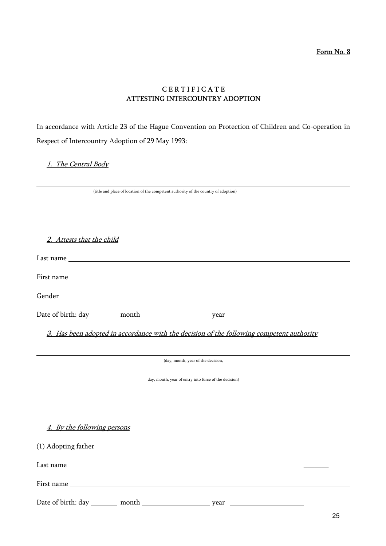Form No. 8

### C E R T I F I C A T E ATTESTING INTERCOUNTRY ADOPTION

In accordance with Article 23 of the Hague Convention on Protection of Children and Co-operation in Respect of Intercountry Adoption of 29 May 1993:

#### 1. The Central Body

| (title and place of location of the competent authority of the country of adoption)                                                                                                                                            |
|--------------------------------------------------------------------------------------------------------------------------------------------------------------------------------------------------------------------------------|
|                                                                                                                                                                                                                                |
|                                                                                                                                                                                                                                |
|                                                                                                                                                                                                                                |
|                                                                                                                                                                                                                                |
| 2. Attests that the child                                                                                                                                                                                                      |
|                                                                                                                                                                                                                                |
|                                                                                                                                                                                                                                |
|                                                                                                                                                                                                                                |
|                                                                                                                                                                                                                                |
| Gender National Communication of the Communication of the Communication of the Communication of the Communication of the Communication of the Communication of the Communication of the Communication of the Communication of  |
|                                                                                                                                                                                                                                |
|                                                                                                                                                                                                                                |
|                                                                                                                                                                                                                                |
| 3. Has been adopted in accordance with the decision of the following competent authority                                                                                                                                       |
|                                                                                                                                                                                                                                |
|                                                                                                                                                                                                                                |
| (day, month, year of the decision,                                                                                                                                                                                             |
|                                                                                                                                                                                                                                |
| day, month, year of entry into force of the decision)                                                                                                                                                                          |
|                                                                                                                                                                                                                                |
|                                                                                                                                                                                                                                |
|                                                                                                                                                                                                                                |
| 4. By the following persons                                                                                                                                                                                                    |
|                                                                                                                                                                                                                                |
| (1) Adopting father                                                                                                                                                                                                            |
|                                                                                                                                                                                                                                |
|                                                                                                                                                                                                                                |
|                                                                                                                                                                                                                                |
| First name contract the state of the state of the state of the state of the state of the state of the state of the state of the state of the state of the state of the state of the state of the state of the state of the sta |
|                                                                                                                                                                                                                                |
|                                                                                                                                                                                                                                |
|                                                                                                                                                                                                                                |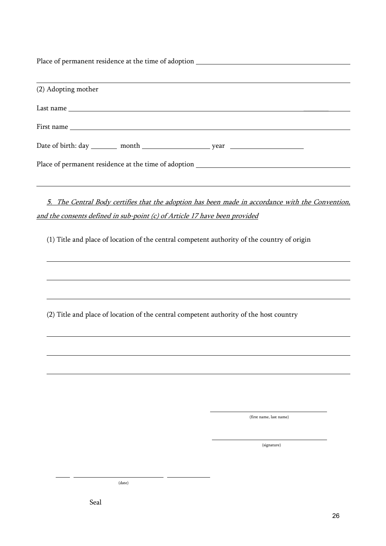Place of permanent residence at the time of adoption  $\overline{a}$ (2) Adopting mother Last name \_\_\_\_\_\_\_ First name Date of birth: day month year Place of permanent residence at the time of adoption  $\overline{a}$  5. The Central Body certifies that the adoption has been made in accordance with the Convention, and the consents defined in sub-point (c) of Article 17 have been provided

(1) Title and place of location of the central competent authority of the country of origin

(2) Title and place of location of the central competent authority of the host country

(first name, last name)

(signature)

(date)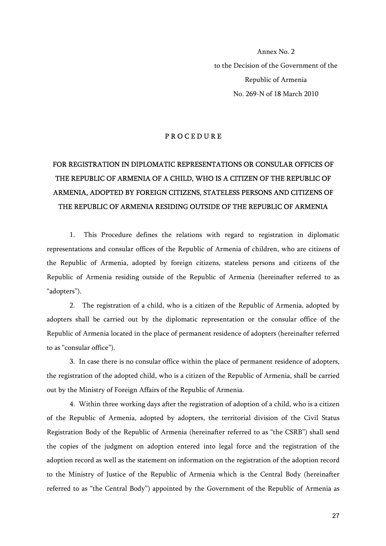Annex No. 2 to the Decision of the Government of the Republic of Armenia No. 269-N of 18 March 2010

#### P R O C E D U R E

# FOR REGISTRATION IN DIPLOMATIC REPRESENTATIONS OR CONSULAR OFFICES OF THE REPUBLIC OF ARMENIA OF A CHILD, WHO IS A CITIZEN OF THE REPUBLIC OF ARMENIA, ADOPTED BY FOREIGN CITIZENS, STATELESS PERSONS AND CITIZENS OF THE REPUBLIC OF ARMENIA RESIDING OUTSIDE OF THE REPUBLIC OF ARMENIA

1. This Procedure defines the relations with regard to registration in diplomatic representations and consular offices of the Republic of Armenia of children, who are citizens of the Republic of Armenia, adopted by foreign citizens, stateless persons and citizens of the Republic of Armenia residing outside of the Republic of Armenia (hereinafter referred to as "adopters").

2. The registration of a child, who is a citizen of the Republic of Armenia, adopted by adopters shall be carried out by the diplomatic representation or the consular office of the Republic of Armenia located in the place of permanent residence of adopters (hereinafter referred to as "consular office").

3. In case there is no consular office within the place of permanent residence of adopters, the registration of the adopted child, who is a citizen of the Republic of Armenia, shall be carried out by the Ministry of Foreign Affairs of the Republic of Armenia.

4. Within three working days after the registration of adoption of a child, who is a citizen of the Republic of Armenia, adopted by adopters, the territorial division of the Civil Status Registration Body of the Republic of Armenia (hereinafter referred to as "the CSRB") shall send the copies of the judgment on adoption entered into legal force and the registration of the adoption record as well as the statement on information on the registration of the adoption record to the Ministry of Justice of the Republic of Armenia which is the Central Body (hereinafter referred to as "the Central Body") appointed by the Government of the Republic of Armenia as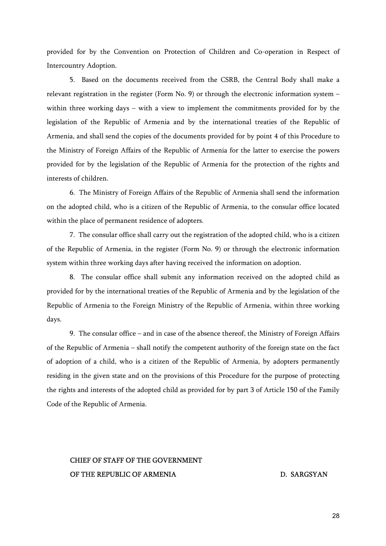provided for by the Convention on Protection of Children and Co-operation in Respect of Intercountry Adoption.

5. Based on the documents received from the CSRB, the Central Body shall make a relevant registration in the register (Form No. 9) or through the electronic information system – within three working days – with a view to implement the commitments provided for by the legislation of the Republic of Armenia and by the international treaties of the Republic of Armenia, and shall send the copies of the documents provided for by point 4 of this Procedure to the Ministry of Foreign Affairs of the Republic of Armenia for the latter to exercise the powers provided for by the legislation of the Republic of Armenia for the protection of the rights and interests of children.

6. The Ministry of Foreign Affairs of the Republic of Armenia shall send the information on the adopted child, who is a citizen of the Republic of Armenia, to the consular office located within the place of permanent residence of adopters.

7. The consular office shall carry out the registration of the adopted child, who is a citizen of the Republic of Armenia, in the register (Form No. 9) or through the electronic information system within three working days after having received the information on adoption.

8. The consular office shall submit any information received on the adopted child as provided for by the international treaties of the Republic of Armenia and by the legislation of the Republic of Armenia to the Foreign Ministry of the Republic of Armenia, within three working days.

9. The consular office – and in case of the absence thereof, the Ministry of Foreign Affairs of the Republic of Armenia – shall notify the competent authority of the foreign state on the fact of adoption of a child, who is a citizen of the Republic of Armenia, by adopters permanently residing in the given state and on the provisions of this Procedure for the purpose of protecting the rights and interests of the adopted child as provided for by part 3 of Article 150 of the Family Code of the Republic of Armenia.

### CHIEF OF STAFF OF THE GOVERNMENT OF THE REPUBLIC OF ARMENIA DERIVED BY A SARGSYAN